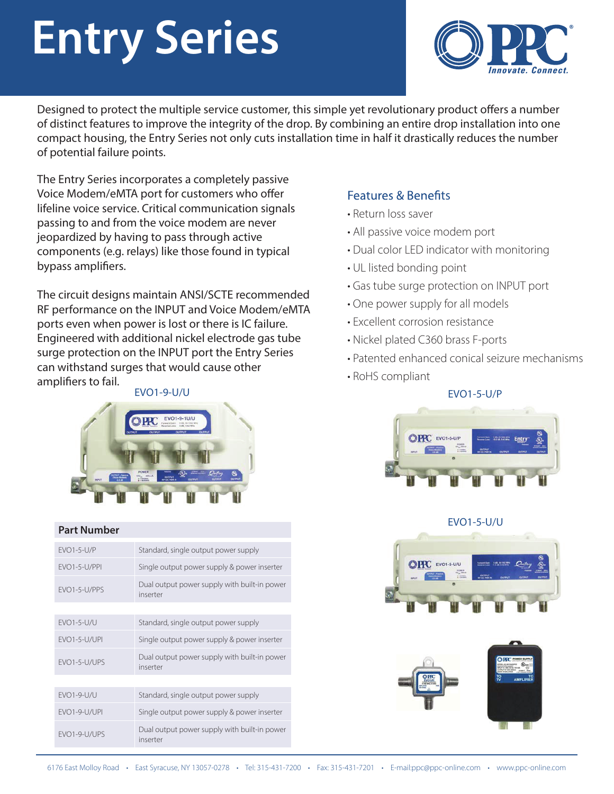## **Entry Series**



Designed to protect the multiple service customer, this simple yet revolutionary product offers a number of distinct features to improve the integrity of the drop. By combining an entire drop installation into one compact housing, the Entry Series not only cuts installation time in half it drastically reduces the number of potential failure points.

The Entry Series incorporates a completely passive Voice Modem/eMTA port for customers who offer lifeline voice service. Critical communication signals passing to and from the voice modem are never jeopardized by having to pass through active components (e.g. relays) like those found in typical bypass amplifiers.

The circuit designs maintain ANSI/SCTE recommended RF performance on the INPUT and Voice Modem/eMTA ports even when power is lost or there is IC failure. Engineered with additional nickel electrode gas tube surge protection on the INPUT port the Entry Series can withstand surges that would cause other amplifiers to fail.



| <b>Part Number</b>  |                                                          |
|---------------------|----------------------------------------------------------|
| <b>EVO1-5-U/P</b>   | Standard, single output power supply                     |
| <b>FVO1-5-U/PPI</b> | Single output power supply & power inserter              |
| EVO1-5-U/PPS        | Dual output power supply with built-in power<br>inserter |
|                     |                                                          |
| FVO1-5-U/U          | Standard, single output power supply                     |
| <b>FVO1-5-U/UPI</b> | Single output power supply & power inserter              |
| <b>FVO1-5-U/UPS</b> | Dual output power supply with built-in power<br>inserter |
|                     |                                                          |
| FVO1-9-U/U          | Standard, single output power supply                     |
| EVO1-9-U/UPI        | Single output power supply & power inserter              |
| FVO1-9-U/UPS        | Dual output power supply with built-in power<br>inserter |

## **Features & Benefits**

- Return loss saver
- All passive voice modem port
- Dual color LED indicator with monitoring
- UL listed bonding point
- Gas tube surge protection on INPUT port
- One power supply for all models
- Excellent corrosion resistance
- Nickel plated C360 brass F-ports
- Patented enhanced conical seizure mechanisms
- RoHS compliant